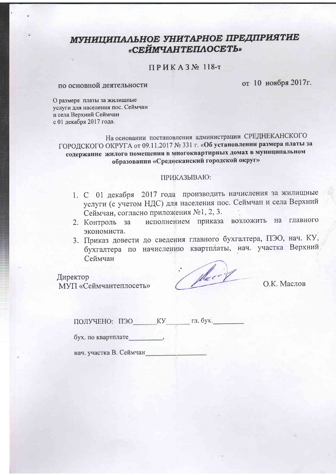# МУНИЦИПАЛЬНОЕ УНИТАРНОЕ ПРЕДПРИЯТИЕ «СЕЙМЧАНТЕПЛОСЕТЬ»

# ПРИКАЗ№ 118-т

#### по основной деятельности

от 10 ноября 2017г.

О размере платы за жилищные услуги для населения пос. Сеймчан и села Верхний Сеймчан с 01 лекабря 2017 года.

На основании постановления администрации СРЕДНЕКАНСКОГО ГОРОДСКОГО ОКРУГА от 09.11.2017 № 331 г. «Об установлении размера платы за содержание жилого помещения в многоквартирных домах в муниципальном образовании «Среднеканский городской округ»

#### ПРИКАЗЫВАЮ:

- 1. С 01 декабря 2017 года производить начисления за жилищные услуги (с учетом НДС) для населения пос. Сеймчан и села Верхний Сеймчан, согласно приложения №1, 2, 3.
- 2. Контроль за исполнением приказа возложить на главного экономиста.
- 3. Приказ довести до сведения главного бухгалтера, ПЭО, нач. КУ, бухгалтера по начислению квартплаты, нач. участка Верхний Сеймчан

Директор МУП «Сеймчантеплосеть»

(place )

О.К. Маслов

ПОЛУЧЕНО: ПЭО КУ гл. бух.

бух. по квартплате

нач. участка В. Сеймчан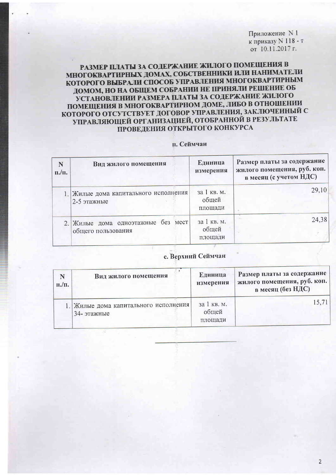Приложение N 1 к приказу N 118 - т от 10.11.2017 г.

# РАЗМЕР ПЛАТЫ ЗА СОДЕРЖАНИЕ ЖИЛОГО ПОМЕЩЕНИЯ В МНОГОКВАРТИРНЫХ ДОМАХ, СОБСТВЕННИКИ ИЛИ НАНИМАТЕЛИ КОТОРОГО ВЫБРАЛИ СПОСОБ УПРАВЛЕНИЯ МНОГОКВАРТИРНЫМ ДОМОМ, НО НА ОБЩЕМ СОБРАНИИ НЕ ПРИНЯЛИ РЕШЕНИЕ ОБ УСТАНОВЛЕНИИ РАЗМЕРА ПЛАТЫ ЗА СОДЕРЖАНИЕ ЖИЛОГО ПОМЕЩЕНИЯ В МНОГОКВАРТИРНОМ ДОМЕ, ЛИБО В ОТНОШЕНИИ КОТОРОГО ОТСУТСТВУЕТ ДОГОВОР УПРАВЛЕНИЯ, ЗАКЛЮЧЕННЫЙ С УПРАВЛЯЮЩЕЙ ОРГАНИЗАЦИЕЙ, ОТОБРАННОЙ В РЕЗУЛЬТАТЕ ПРОВЕДЕНИЯ ОТКРЫТОГО КОНКУРСА

#### п. Сеймчан

| N<br>$\pi$ ./ $\pi$ . | Вид жилого помещения                                     | Единица<br>измерения            | Размер платы за содержание<br>жилого помещения, руб. коп.<br>в месяц (с учетом НДС) |  |
|-----------------------|----------------------------------------------------------|---------------------------------|-------------------------------------------------------------------------------------|--|
|                       | 1. Жилые дома капитального исполнения<br>2-5 этажные     | за 1 кв. м.<br>общей<br>площади | 29,10                                                                               |  |
|                       | 2. Жилые дома одноэтажные без мест<br>общего пользования | за 1 кв. м.<br>общей<br>площади | 24,38                                                                               |  |

### с. Верхний Сеймчан

| N<br>$\Pi$ ./ $\Pi$ . | Вид жилого помещения                                 | Единица<br>измерения            | Размер платы за содержание<br>жилого помещения, руб. коп.<br>в месяц (без НДС) |
|-----------------------|------------------------------------------------------|---------------------------------|--------------------------------------------------------------------------------|
|                       | 1. Жилые дома капитального исполнения<br>34- этажные | за 1 кв. м.<br>общей<br>площади | 15,71                                                                          |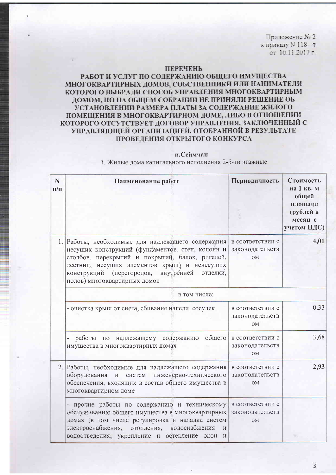Приложение № 2 к приказу N 118 - т от 10.11.2017 г.

#### **ПЕРЕЧЕНЬ**

## РАБОТ И УСЛУГ ПО СОДЕРЖАНИЮ ОБЩЕГО ИМУЩЕСТВА МНОГОКВАРТИРНЫХ ЛОМОВ, СОБСТВЕННИКИ ИЛИ НАНИМАТЕЛИ КОТОРОГО ВЫБРАЛИ СПОСОБ УПРАВЛЕНИЯ МНОГОКВАРТИРНЫМ ДОМОМ, НО НА ОБЩЕМ СОБРАНИИ НЕ ПРИНЯЛИ РЕШЕНИЕ ОБ УСТАНОВЛЕНИИ РАЗМЕРА ПЛАТЫ ЗА СОДЕРЖАНИЕ ЖИЛОГО ПОМЕШЕНИЯ В МНОГОКВАРТИРНОМ ДОМЕ, ЛИБО В ОТНОШЕНИИ КОТОРОГО ОТСУТСТВУЕТ ДОГОВОР УПРАВЛЕНИЯ, ЗАКЛЮЧЕННЫЙ С УПРАВЛЯЮЩЕЙ ОРГАНИЗАЦИЕЙ, ОТОБРАННОЙ В РЕЗУЛЬТАТЕ ПРОВЕДЕНИЯ ОТКРЫТОГО КОНКУРСА

#### п.Сеймчан

1. Жилые дома капитального исполнения 2-5-ти этажные

| N<br>$\Pi/\Pi$ | Наименование работ                                                                                                                                                                                                                                                                        | Периодичность                                    | Стоимость<br>на 1 кв. м<br>общей<br>площади<br>(рублей в<br>месяц с<br>учетом НДС) |  |
|----------------|-------------------------------------------------------------------------------------------------------------------------------------------------------------------------------------------------------------------------------------------------------------------------------------------|--------------------------------------------------|------------------------------------------------------------------------------------|--|
|                | Работы, необходимые для надлежащего содержания<br>несущих конструкций (фундаментов, стен, колонн и<br>столбов, перекрытий и покрытий, балок, ригелей,<br>лестниц, несущих элементов крыш) и ненесущих<br>конструкций (перегородок, внутренней<br>отделки,<br>полов) многоквартирных домов | в соответствии с<br>законодательств<br><b>OM</b> | 4,01                                                                               |  |
|                | в том числе:                                                                                                                                                                                                                                                                              |                                                  |                                                                                    |  |
|                | - очистка крыш от снега, сбивание наледи, сосулек                                                                                                                                                                                                                                         | в соответствии с<br>законодательств<br><b>OM</b> | 0,33                                                                               |  |
|                | общего<br>работы<br>надлежащему содержанию<br>по<br>имущества в многоквартирных домах                                                                                                                                                                                                     | в соответствии с<br>законодательств<br><b>OM</b> | 3,68                                                                               |  |
|                | 2. Работы, необходимые для надлежащего содержания<br>оборудования<br>инженерно-технического<br>$\,$ $\,$ $\,$ $\,$<br>систем<br>обеспечения, входящих в состав общего имущества в<br>многоквартирном доме                                                                                 | в соответствии с<br>законодательств<br><b>OM</b> | 2,93                                                                               |  |
|                | - прочие работы по содержанию и техническому<br>обслуживанию общего имущества в многоквартирных<br>домах (в том числе регулировка и наладка систем<br>электроснабжения, отопления, водоснабжения<br>И<br>водоотведения; укрепление и остекление окон и                                    | в соответствии с<br>законодательств<br><b>OM</b> |                                                                                    |  |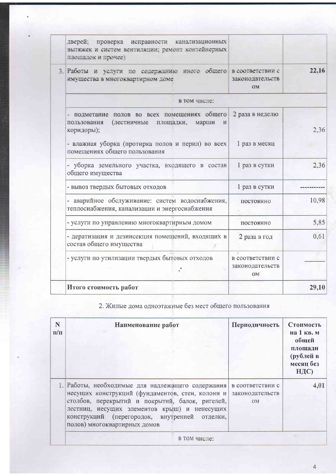|  | дверей;<br>проверка исправности канализационных<br>вытяжек и систем вентиляции; ремонт контейнерных<br>площадок и прочее) |                                           |       |
|--|---------------------------------------------------------------------------------------------------------------------------|-------------------------------------------|-------|
|  | 3. Работы и услуги по содержанию иного общего в соответствии с<br>имущества в многоквартирном доме                        | законодательств<br><b>OM</b>              | 22,16 |
|  | в том числе:                                                                                                              |                                           |       |
|  | подметание полов во всех помещениях общего<br>(лестничные<br>пользования<br>площадки,<br>марши<br>И<br>коридоры);         | 2 раза в неделю                           | 2,36  |
|  | - влажная уборка (протирка полов и перил) во всех<br>помещениях общего пользования                                        | 1 раз в месяц                             |       |
|  | - уборка земельного участка, входящего в состав<br>общего имущества                                                       | 1 раз в сутки                             | 2,36  |
|  | - вывоз твердых бытовых отходов                                                                                           | 1 раз в сутки                             |       |
|  | - аварийное обслуживание: систем водоснабжения,<br>теплоснабжения, канализации и энергоснабжения                          | постоянно                                 | 10,98 |
|  | - услуги по управлению многоквартирным домом                                                                              | постоянно                                 | 5,85  |
|  | - дератизация и дезинсекция помещений, входящих в<br>состав общего имущества                                              | 2 раза в год                              | 0,61  |
|  | - услуги по утилизации твердых бытовых отходов                                                                            | в соответствии с<br>законодательств<br>OM |       |
|  | Итого стоимость работ                                                                                                     |                                           | 29,10 |
|  |                                                                                                                           |                                           |       |

# 2. Жилые дома одноэтажные без мест общего пользования

| N<br>$\Pi/\Pi$ | Наименование работ                                                                                                                                                                                                                                                                        | Периодичность                                    | Стоимость<br>на 1 кв. м<br>общей<br>площади<br>(рублей в<br>месяц без<br>НДС) |
|----------------|-------------------------------------------------------------------------------------------------------------------------------------------------------------------------------------------------------------------------------------------------------------------------------------------|--------------------------------------------------|-------------------------------------------------------------------------------|
|                | 1. Работы, необходимые для надлежащего содержания<br>несущих конструкций (фундаментов, стен, колонн и<br>столбов, перекрытий и покрытий, балок, ригелей,<br>лестниц, несущих элементов крыш) и ненесущих<br>конструкций (перегородок, внутренней отделки,<br>полов) многоквартирных домов | в соответствии с<br>законодательств<br><b>OM</b> |                                                                               |

 $\sqrt{4}$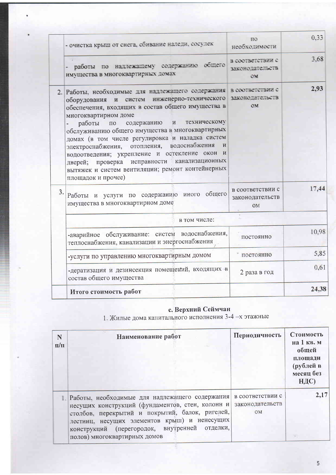|    | - очистка крыш от снега, сбивание наледи, сосулек                                                                                                                                                                                                                                                                                                                                                                                                                                                                                                                                                                          | ΠO<br>необходимости                                            | 0.33  |
|----|----------------------------------------------------------------------------------------------------------------------------------------------------------------------------------------------------------------------------------------------------------------------------------------------------------------------------------------------------------------------------------------------------------------------------------------------------------------------------------------------------------------------------------------------------------------------------------------------------------------------------|----------------------------------------------------------------|-------|
|    | работы по надлежащему содержанию общего<br>имущества в многоквартирных домах                                                                                                                                                                                                                                                                                                                                                                                                                                                                                                                                               | в соответствии с<br>законодательств<br>$\mathcal{C}\mathbf{V}$ | 3.68  |
|    | 2. Работы, необходимые для надлежащего содержания в соответствии с<br>систем инженерно-технического<br>оборудования и<br>обеспечения, входящих в состав общего имущества в<br>многоквартирном доме<br>техническому<br>M<br>работы<br>содержанию<br>$\Pi{\rm O}$<br>обслуживанию общего имущества в многоквартирных<br>домах (в том числе регулировка и наладка систем<br>отопления, водоснабжения<br>$\mathbf{H}$<br>электроснабжения,<br>водоотведения; укрепление и остекление окон<br>H<br>исправности канализационных<br>проверка<br>дверей;<br>вытяжек и систем вентиляции; ремонт контейнерных<br>площадок и прочее) | законодательств<br>OM                                          | 2,93  |
| 3. | Работы и услуги по содержанию иного общего<br>имущества в многоквартирном доме                                                                                                                                                                                                                                                                                                                                                                                                                                                                                                                                             | в соответствии с<br>законодательств<br>OM                      | 17,44 |
|    | в том числе:                                                                                                                                                                                                                                                                                                                                                                                                                                                                                                                                                                                                               |                                                                |       |
|    | -аварийное обслуживание: систем водоснабжения,<br>теплоснабжения, канализации и энергоснабжения                                                                                                                                                                                                                                                                                                                                                                                                                                                                                                                            | постоянно                                                      | 10,98 |
|    | -услуги по управлению многоквартирным домом                                                                                                                                                                                                                                                                                                                                                                                                                                                                                                                                                                                | постоянно                                                      | 5,85  |
|    | -дератизация и дезинсекция помещений, входящих в<br>состав общего имущества                                                                                                                                                                                                                                                                                                                                                                                                                                                                                                                                                | 2 раза в год                                                   | 0,61  |
|    | Итого стоимость работ                                                                                                                                                                                                                                                                                                                                                                                                                                                                                                                                                                                                      |                                                                | 24,38 |

с. Верхний Сеймчан<br>1. Жилые дома капитального исполнения 3-4 -х этажные

| N<br>$\Pi/\Pi$ | Наименование работ                                                                                                                                                                                                                                                                        | Периодичность                             | Стоимость<br>на 1 кв. м<br>общей<br>площади<br>(рублей в<br>месяц без<br>НДС) |
|----------------|-------------------------------------------------------------------------------------------------------------------------------------------------------------------------------------------------------------------------------------------------------------------------------------------|-------------------------------------------|-------------------------------------------------------------------------------|
|                | 1. Работы, необходимые для надлежащего содержания<br>несущих конструкций (фундаментов, стен, колонн и<br>столбов, перекрытий и покрытий, балок, ригелей,<br>лестниц, несущих элементов крыш) и ненесущих<br>конструкций (перегородок, внутренней отделки,<br>полов) многоквартирных домов | в соответствии с<br>законодательств<br>OM | 2,17                                                                          |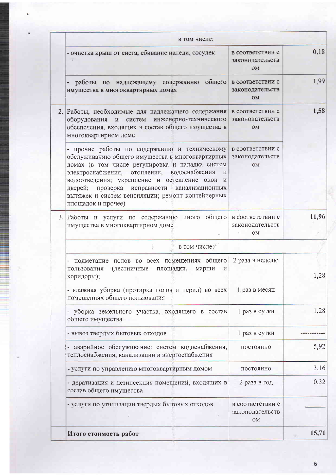| в том числе:                                                                                                                                                                                                                                                                                                                                                                                                    |                                                  |       |
|-----------------------------------------------------------------------------------------------------------------------------------------------------------------------------------------------------------------------------------------------------------------------------------------------------------------------------------------------------------------------------------------------------------------|--------------------------------------------------|-------|
| - очистка крыш от снега, сбивание наледи, сосулек                                                                                                                                                                                                                                                                                                                                                               | в соответствии с<br>законо дательств<br>ON       | 0.18  |
| - работы по надлежащему содержанию общего в соответствии с<br>имущества в многоквартирных домах                                                                                                                                                                                                                                                                                                                 | законодательств<br><b>OM</b>                     | 1.99  |
| 2. Работы, необходимые для надлежащего содержания в соответствии с<br>инженерно-технического<br>оборудования и<br>систем<br>обеспечения, входящих в состав общего имущества в<br>многоквартирном доме                                                                                                                                                                                                           | законодательств<br><b>OM</b>                     | 1,58  |
| - прочие работы по содержанию и техническому в соответствии с<br>обслуживанию общего имущества в многоквартирных<br>домах (в том числе регулировка и наладка систем<br>электроснабжения, отопления, водоснабжения<br>$\mathbf{M}$<br>водоотведения; укрепление и остекление окон<br>И<br>дверей; проверка исправности канализационных<br>вытяжек и систем вентиляции; ремонт контейнерных<br>площадок и прочее) | законодательств<br>OM                            |       |
| 3. Работы и услуги по содержанию иного общего<br>имущества в многоквартирном доме                                                                                                                                                                                                                                                                                                                               | в соответствии с<br>законодательств<br><b>OM</b> | 11,96 |
| в том числе:                                                                                                                                                                                                                                                                                                                                                                                                    |                                                  |       |
| подметание полов во всех помещениях общего<br>пользования<br>(лестничные<br>площадки,<br>марши<br>И<br>коридоры);                                                                                                                                                                                                                                                                                               | 2 раза в неделю                                  | 1,28  |
| - влажная уборка (протирка полов и перил) во всех<br>помещениях общего пользования                                                                                                                                                                                                                                                                                                                              | 1 раз в месяц                                    |       |
| уборка земельного участка, входящего в состав<br>общего имущества                                                                                                                                                                                                                                                                                                                                               | 1 раз в сутки                                    | 1,28  |
| - вывоз твердых бытовых отходов                                                                                                                                                                                                                                                                                                                                                                                 | 1 раз в сутки                                    |       |
| - аварийное обслуживание: систем водоснабжения,<br>теплоснабжения, канализации и энергоснабжения                                                                                                                                                                                                                                                                                                                | постоянно                                        | 5,92  |
| - услуги по управлению многоквартирным домом                                                                                                                                                                                                                                                                                                                                                                    | постоянно                                        | 3,16  |
| - дератизация и дезинсекция помещений, входящих в<br>состав общего имущества                                                                                                                                                                                                                                                                                                                                    | 2 раза в год                                     | 0,32  |
| - услуги по утилизации твердых бытовых отходов                                                                                                                                                                                                                                                                                                                                                                  | в соответствии с<br>законодательств<br><b>OM</b> |       |
| Итого стоимость работ                                                                                                                                                                                                                                                                                                                                                                                           |                                                  | 15,71 |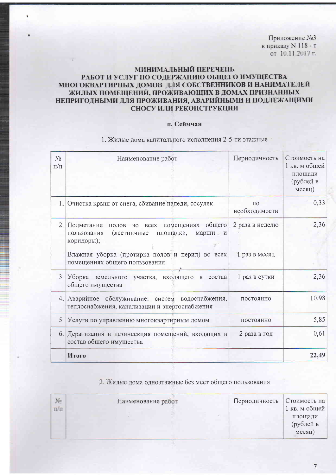Приложение №3 к приказу N 118 - т от 10.11.2017 г.

# МИНИМАЛЬНЫЙ ПЕРЕЧЕНЬ РАБОТ И УСЛУГ ПО СОДЕРЖАНИЮ ОБЩЕГО ИМУЩЕСТВА МНОГОКВАРТИРНЫХ ДОМОВ ДЛЯ СОБСТВЕННИКОВ И НАНИМАТЕЛЕЙ ЖИЛЫХ ПОМЕЩЕНИЙ, ПРОЖИВАЮЩИХ В ДОМАХ ПРИЗНАННЫХ НЕПРИГОДНЫМИ ДЛЯ ПРОЖИВАНИЯ, АВАРИЙНЫМИ И ПОДЛЕЖАЩИМИ СНОСУ ИЛИ РЕКОНСТРУКЦИИ

### п. Сеймчан

| $N_2$<br>$\Pi/\Pi$ | Наименование работ                                                                                                                                                                                                    | Периодичность                       | Стоимость на<br>1 кв. м общей<br>площади<br>(рублей в<br>месяц) |
|--------------------|-----------------------------------------------------------------------------------------------------------------------------------------------------------------------------------------------------------------------|-------------------------------------|-----------------------------------------------------------------|
|                    | 1. Очистка крыш от снега, сбивание наледи, сосулек                                                                                                                                                                    | $\Pi$ <sup>O</sup><br>необходимости | 0,33                                                            |
| 2.                 | Подметание<br>полов во всех помещениях общего<br>(лестничные<br>пользования<br>площадки,<br>марши<br>$\overline{M}$<br>коридоры);<br>Влажная уборка (протирка полов и перил) во всех<br>помещениях общего пользования | 2 раза в неделю<br>1 раз в месяц    | 2,36                                                            |
| 3.                 | Уборка земельного участка, входящего<br>$\, {\bf B}$<br>состав<br>общего имущества                                                                                                                                    | 1 раз в сутки                       | 2,36                                                            |
|                    | 4. Аварийное обслуживание: систем водоснабжения,<br>теплоснабжения, канализации и энергоснабжения                                                                                                                     | постоянно                           | 10,98                                                           |
|                    | 5. Услуги по управлению многоквартирным домом                                                                                                                                                                         | постоянно                           | 5,85                                                            |
| 6.1                | Дератизация и дезинсекция помещений, входящих в<br>состав общего имущества                                                                                                                                            | 2 раза в год                        | 0,61                                                            |
|                    | Итого                                                                                                                                                                                                                 |                                     | 22,49                                                           |

### 1. Жилые дома капитального исполнения 2-5-ти этажные

### 2. Жилые дома одноэтажные без мест общего пользования

| $\frac{1}{\pi}$ | Наименование работ | Периодичность | Стоимость на<br>1 кв. м общей  |
|-----------------|--------------------|---------------|--------------------------------|
|                 |                    |               | площади<br>(рублей в<br>месяц) |